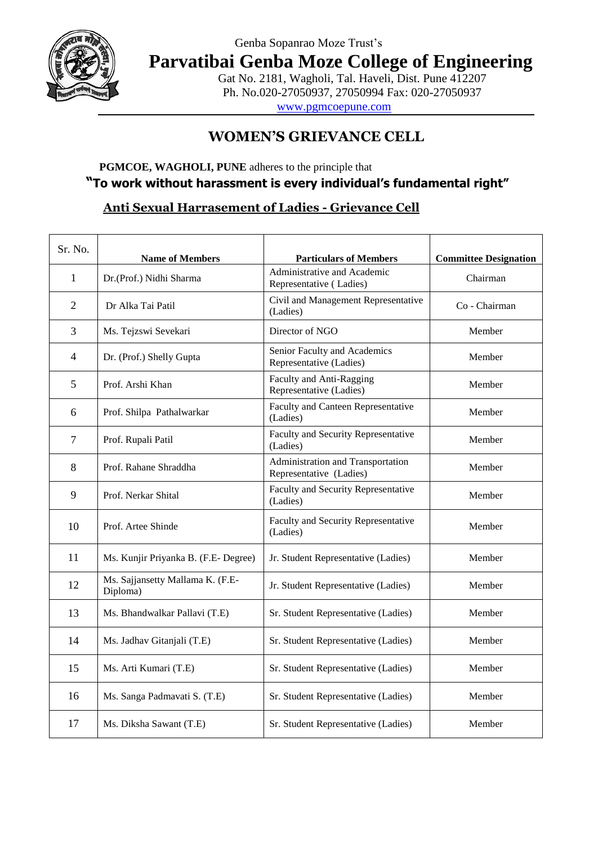

## Genba Sopanrao Moze Trust's

**Parvatibai Genba Moze College of Engineering**

Gat No. 2181, Wagholi, Tal. Haveli, Dist. Pune 412207 Ph. No.020-27050937, 27050994 Fax: 020-27050937

www.pgmcoepune.com

# **WOMEN'S GRIEVANCE CELL**

#### **PGMCOE, WAGHOLI, PUNE** adheres to the principle that  **"To work without harassment is every individual's fundamental right"**

### **Anti Sexual Harrasement of Ladies - Grievance Cell**

| Sr. No.        | <b>Name of Members</b>                       | <b>Particulars of Members</b>                                | <b>Committee Designation</b> |
|----------------|----------------------------------------------|--------------------------------------------------------------|------------------------------|
| 1              | Dr.(Prof.) Nidhi Sharma                      | Administrative and Academic<br>Representative (Ladies)       | Chairman                     |
| $\overline{2}$ | Dr Alka Tai Patil                            | Civil and Management Representative<br>(Ladies)              | Co - Chairman                |
| 3              | Ms. Tejzswi Sevekari                         | Director of NGO                                              | Member                       |
| 4              | Dr. (Prof.) Shelly Gupta                     | Senior Faculty and Academics<br>Representative (Ladies)      | Member                       |
| 5              | Prof. Arshi Khan                             | Faculty and Anti-Ragging<br>Representative (Ladies)          | Member                       |
| 6              | Prof. Shilpa Pathalwarkar                    | Faculty and Canteen Representative<br>(Ladies)               | Member                       |
| $\overline{7}$ | Prof. Rupali Patil                           | Faculty and Security Representative<br>(Ladies)              | Member                       |
| 8              | Prof. Rahane Shraddha                        | Administration and Transportation<br>Representative (Ladies) | Member                       |
| 9              | Prof. Nerkar Shital                          | Faculty and Security Representative<br>(Ladies)              | Member                       |
| 10             | Prof. Artee Shinde                           | Faculty and Security Representative<br>(Ladies)              | Member                       |
| 11             | Ms. Kunjir Priyanka B. (F.E- Degree)         | Jr. Student Representative (Ladies)                          | Member                       |
| 12             | Ms. Sajjansetty Mallama K. (F.E-<br>Diploma) | Jr. Student Representative (Ladies)                          | Member                       |
| 13             | Ms. Bhandwalkar Pallavi (T.E)                | Sr. Student Representative (Ladies)                          | Member                       |
| 14             | Ms. Jadhav Gitanjali (T.E)                   | Sr. Student Representative (Ladies)                          | Member                       |
| 15             | Ms. Arti Kumari (T.E)                        | Sr. Student Representative (Ladies)                          | Member                       |
| 16             | Ms. Sanga Padmavati S. (T.E)                 | Sr. Student Representative (Ladies)                          | Member                       |
| 17             | Ms. Diksha Sawant (T.E)                      | Sr. Student Representative (Ladies)                          | Member                       |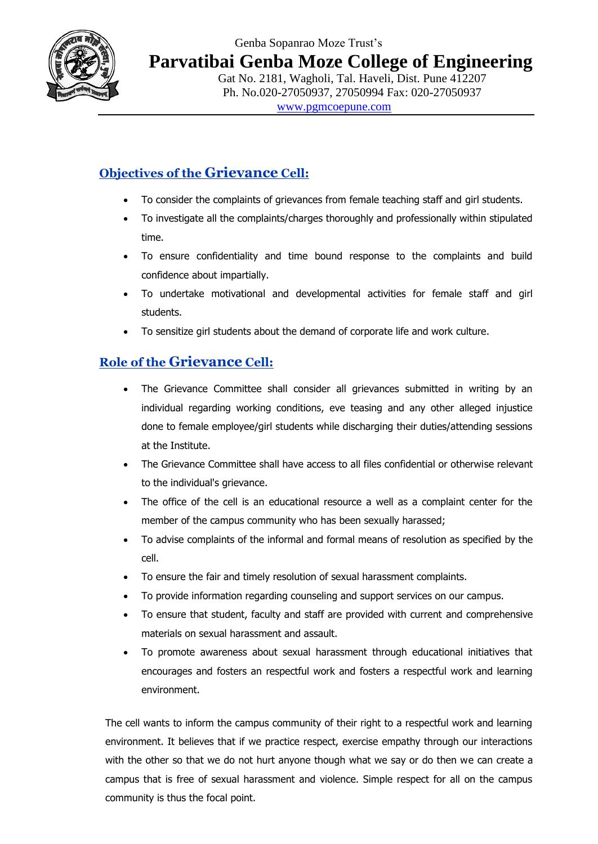

**Parvatibai Genba Moze College of Engineering**

Gat No. 2181, Wagholi, Tal. Haveli, Dist. Pune 412207 Ph. No.020-27050937, 27050994 Fax: 020-27050937 www.pgmcoepune.com

## **Objectives of the Grievance Cell:**

- To consider the complaints of grievances from female teaching staff and girl students.
- To investigate all the complaints/charges thoroughly and professionally within stipulated time.
- To ensure confidentiality and time bound response to the complaints and build confidence about impartially.
- To undertake motivational and developmental activities for female staff and girl students.
- To sensitize girl students about the demand of corporate life and work culture.

## **Role of the Grievance Cell:**

- The Grievance Committee shall consider all grievances submitted in writing by an individual regarding working conditions, eve teasing and any other alleged injustice done to female employee/girl students while discharging their duties/attending sessions at the Institute.
- The Grievance Committee shall have access to all files confidential or otherwise relevant to the individual's grievance.
- The office of the cell is an educational resource a well as a complaint center for the member of the campus community who has been sexually harassed;
- To advise complaints of the informal and formal means of resolution as specified by the cell.
- To ensure the fair and timely resolution of sexual harassment complaints.
- To provide information regarding counseling and support services on our campus.
- To ensure that student, faculty and staff are provided with current and comprehensive materials on sexual harassment and assault.
- To promote awareness about sexual harassment through educational initiatives that encourages and fosters an respectful work and fosters a respectful work and learning environment.

The cell wants to inform the campus community of their right to a respectful work and learning environment. It believes that if we practice respect, exercise empathy through our interactions with the other so that we do not hurt anyone though what we say or do then we can create a campus that is free of sexual harassment and violence. Simple respect for all on the campus community is thus the focal point.